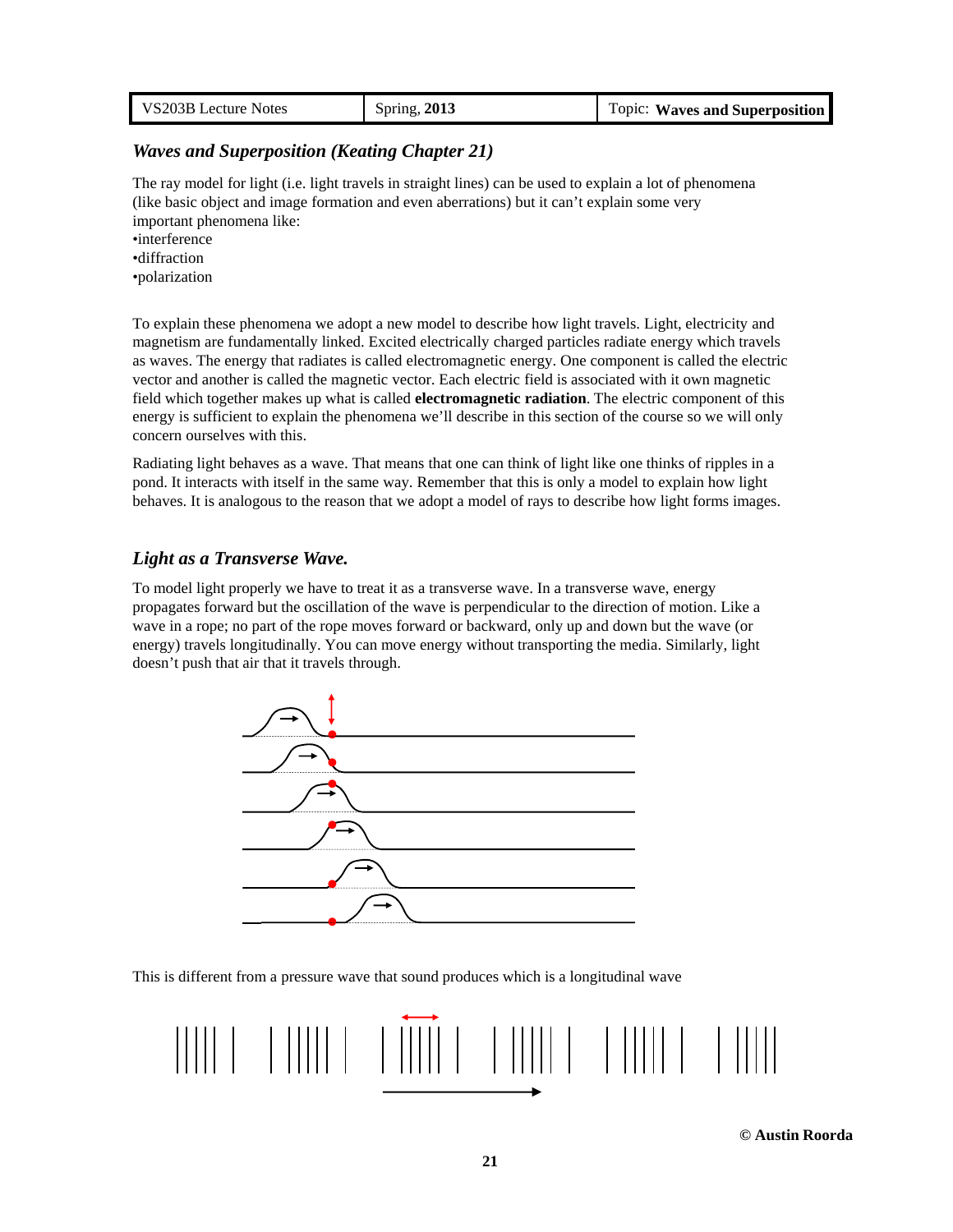| VS203B Lecture Notes | Spring, 2013 | <b>Topic: Waves and Superposition</b> |
|----------------------|--------------|---------------------------------------|
|----------------------|--------------|---------------------------------------|

### *Waves and Superposition (Keating Chapter 21)*

The ray model for light (i.e. light travels in straight lines) can be used to explain a lot of phenomena (like basic object and image formation and even aberrations) but it can't explain some very important phenomena like:

•interference

•diffraction

•polarization

To explain these phenomena we adopt a new model to describe how light travels. Light, electricity and magnetism are fundamentally linked. Excited electrically charged particles radiate energy which travels as waves. The energy that radiates is called electromagnetic energy. One component is called the electric vector and another is called the magnetic vector. Each electric field is associated with it own magnetic field which together makes up what is called **electromagnetic radiation**. The electric component of this energy is sufficient to explain the phenomena we'll describe in this section of the course so we will only concern ourselves with this.

Radiating light behaves as a wave. That means that one can think of light like one thinks of ripples in a pond. It interacts with itself in the same way. Remember that this is only a model to explain how light behaves. It is analogous to the reason that we adopt a model of rays to describe how light forms images.

### *Light as a Transverse Wave.*

To model light properly we have to treat it as a transverse wave. In a transverse wave, energy propagates forward but the oscillation of the wave is perpendicular to the direction of motion. Like a wave in a rope; no part of the rope moves forward or backward, only up and down but the wave (or energy) travels longitudinally. You can move energy without transporting the media. Similarly, light doesn't push that air that it travels through.



This is different from a pressure wave that sound produces which is a longitudinal wave



**© Austin Roorda**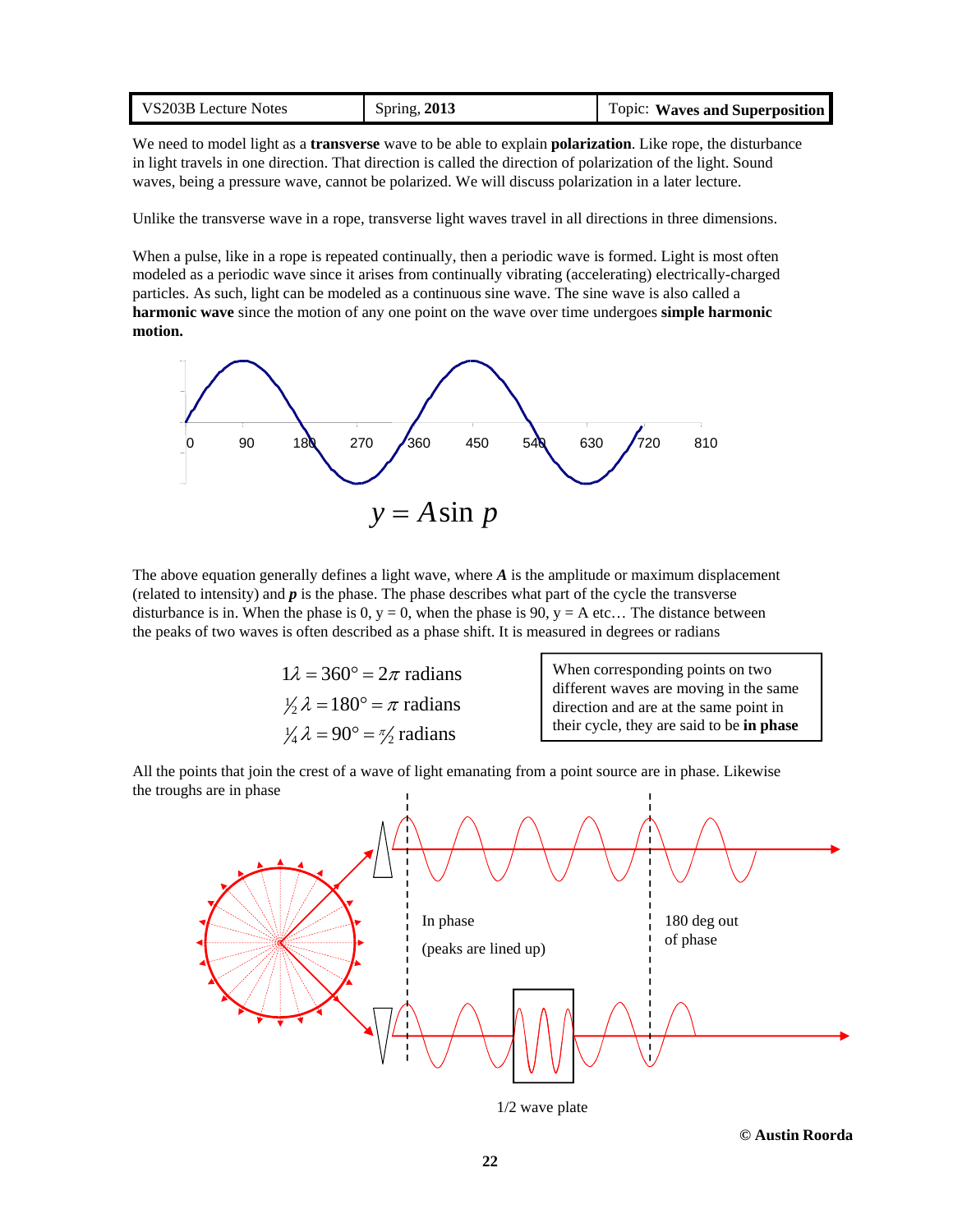| Spring, 2013<br>VS203B Lecture Notes<br>Topic: Waves and Superposition |
|------------------------------------------------------------------------|
|------------------------------------------------------------------------|

We need to model light as a **transverse** wave to be able to explain **polarization**. Like rope, the disturbance in light travels in one direction. That direction is called the direction of polarization of the light. Sound waves, being a pressure wave, cannot be polarized. We will discuss polarization in a later lecture.

Unlike the transverse wave in a rope, transverse light waves travel in all directions in three dimensions.

When a pulse, like in a rope is repeated continually, then a periodic wave is formed. Light is most often modeled as a periodic wave since it arises from continually vibrating (accelerating) electrically-charged particles. As such, light can be modeled as a continuous sine wave. The sine wave is also called a **harmonic wave** since the motion of any one point on the wave over time undergoes **simple harmonic motion.**



The above equation generally defines a light wave, where *A* is the amplitude or maximum displacement (related to intensity) and *p* is the phase. The phase describes what part of the cycle the transverse disturbance is in. When the phase is 0,  $y = 0$ , when the phase is 90,  $y = A$  etc... The distance between the peaks of two waves is often described as a phase shift. It is measured in degrees or radians

| $1\lambda = 360^\circ = 2\pi$ radians                      |                |
|------------------------------------------------------------|----------------|
| $\frac{1}{2} \lambda = 180^\circ = \pi$ radians            | di<br>di<br>th |
|                                                            |                |
| $\frac{1}{4} \lambda = 90^{\circ} = \frac{\pi}{2}$ radians |                |

 When corresponding points on two ifferent waves are moving in the same irection and are at the same point in their cycle, they are said to be **in phase** 

All the points that join the crest of a wave of light emanating from a point source are in phase. Likewise the troughs are in phase



1/2 wave plate

**© Austin Roorda**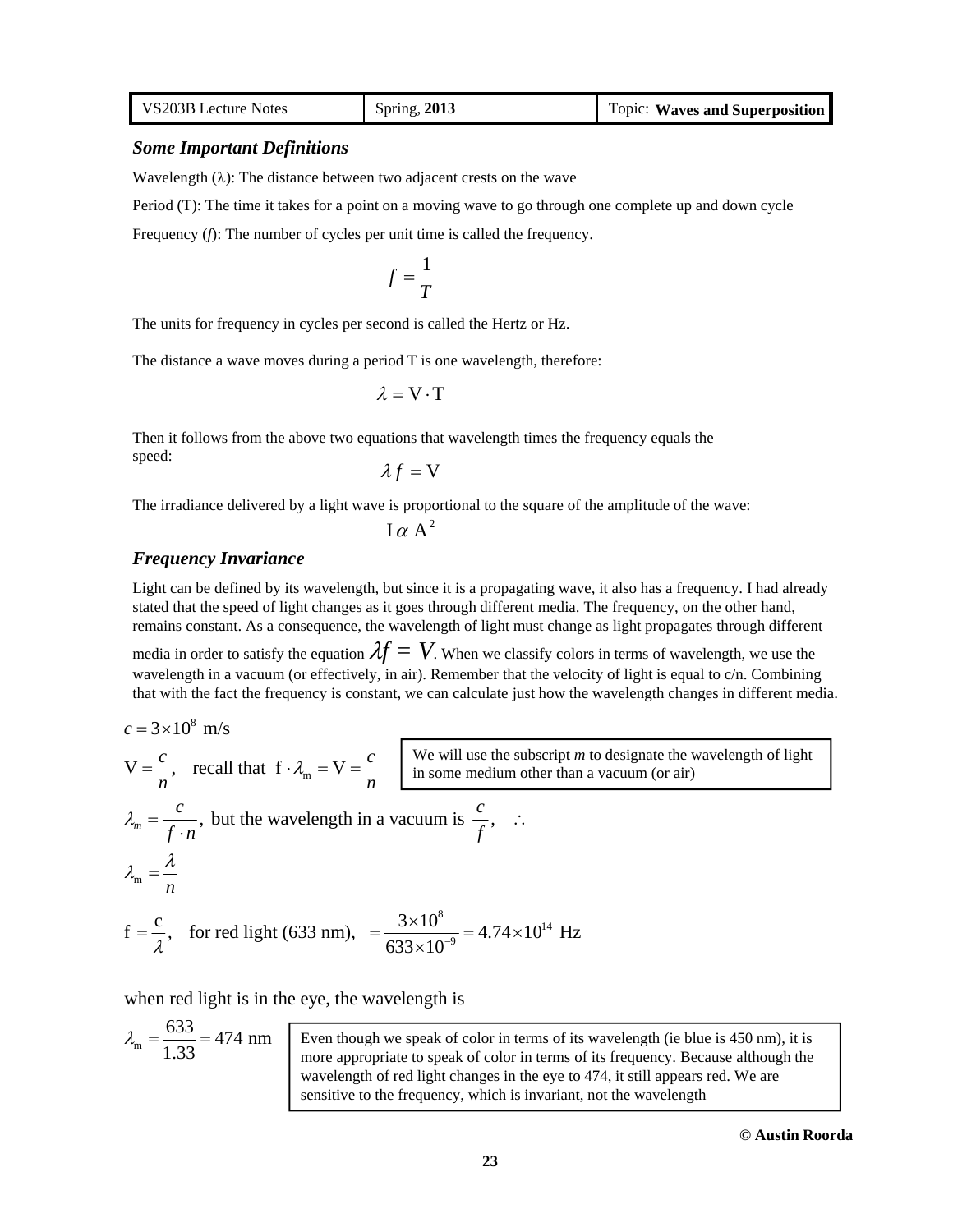| VS203B Lecture Notes | Spring, 2013 | <b>Topic: Waves and Superposition</b> |
|----------------------|--------------|---------------------------------------|
|----------------------|--------------|---------------------------------------|

#### *Some Important Definitions*

Wavelength  $(\lambda)$ : The distance between two adjacent crests on the wave

Period (T): The time it takes for a point on a moving wave to go through one complete up and down cycle

Frequency (*f*): The number of cycles per unit time is called the frequency.

$$
f=\frac{1}{T}
$$

The units for frequency in cycles per second is called the Hertz or Hz.

The distance a wave moves during a period T is one wavelength, therefore:

$$
\lambda = V \cdot T
$$

Then it follows from the above two equations that wavelength times the frequency equals the speed:

$$
\lambda f = \mathbf{V}
$$

The irradiance delivered by a light wave is proportional to the square of the amplitude of the wave:

 $I \alpha A^2$ 

### *Frequency Invariance*

Light can be defined by its wavelength, but since it is a propagating wave, it also has a frequency. I had already stated that the speed of light changes as it goes through different media. The frequency, on the other hand, remains constant. As a consequence, the wavelength of light must change as light propagates through different

media in order to satisfy the equation  $\lambda f = V$ . When we classify colors in terms of wavelength, we use the wavelength in a vacuum (or effectively, in air). Remember that the velocity of light is equal to c/n. Combining that with the fact the frequency is constant, we can calculate just how the wavelength changes in different media.

$$
c = 3 \times 10^8 \text{ m/s}
$$
  
\n
$$
V = \frac{c}{n}, \text{ recall that } f \cdot \lambda_m = V = \frac{c}{n}
$$
  
\n
$$
\frac{W \text{ will use the subscript } m \text{ to designate the wavelength of light}}{n}
$$
  
\n
$$
\lambda_m = \frac{c}{f \cdot n}, \text{ but the wavelength in a vacuum is } \frac{c}{f}, \dots
$$
  
\n
$$
\lambda_m = \frac{\lambda}{n}
$$
  
\n
$$
f = \frac{c}{\lambda}, \text{ for red light (633 nm)}, = \frac{3 \times 10^8}{633 \times 10^{-9}} = 4.74 \times 10^{14} \text{ Hz}
$$

when red light is in the eye, the wavelength is

$$
\lambda_{\rm m} = \frac{633}{1.33} = 474 \text{ nm}
$$
\nEven though we speak of color in terms of its wavelength (ie blue is 450 nm), it is more appropriate to speak of color in terms of its frequency. Because although the wavelength of red light changes in the eye to 474, it still appears red. We are sensitive to the frequency, which is invariant, not the wavelength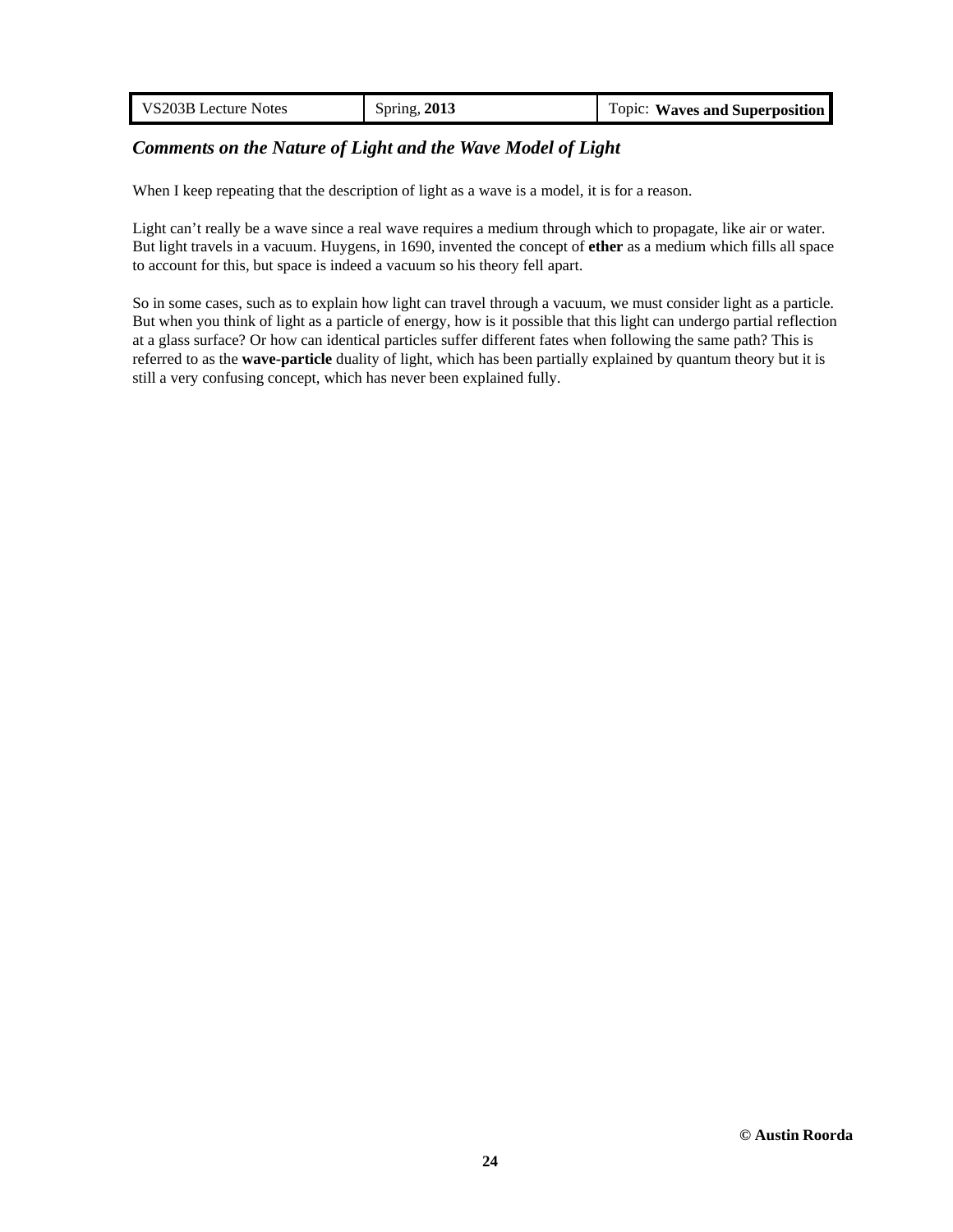| VS203B Lecture Notes | Spring, 2013 | <b>Topic: Waves and Superposition</b> |
|----------------------|--------------|---------------------------------------|
|                      |              |                                       |

# *Comments on the Nature of Light and the Wave Model of Light*

When I keep repeating that the description of light as a wave is a model, it is for a reason.

Light can't really be a wave since a real wave requires a medium through which to propagate, like air or water. But light travels in a vacuum. Huygens, in 1690, invented the concept of **ether** as a medium which fills all space to account for this, but space is indeed a vacuum so his theory fell apart.

So in some cases, such as to explain how light can travel through a vacuum, we must consider light as a particle. But when you think of light as a particle of energy, how is it possible that this light can undergo partial reflection at a glass surface? Or how can identical particles suffer different fates when following the same path? This is referred to as the **wave-particle** duality of light, which has been partially explained by quantum theory but it is still a very confusing concept, which has never been explained fully.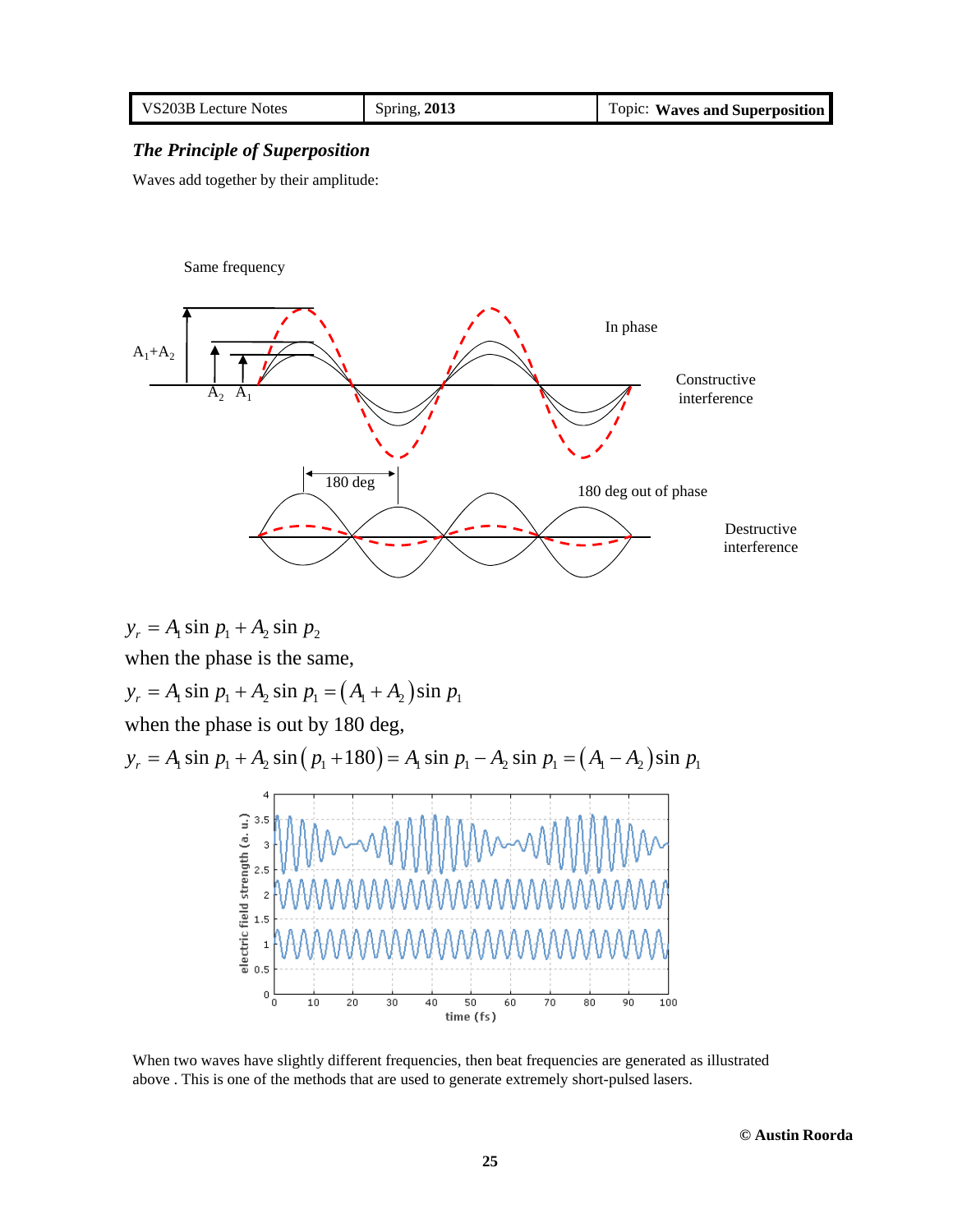| VS203B Lecture Notes | Spring, 2013 | Topic: Waves and Superposition |
|----------------------|--------------|--------------------------------|
|----------------------|--------------|--------------------------------|

### *The Principle of Superposition*

Waves add together by their amplitude:

#### Same frequency



 $y_r = A_1 \sin p_1 + A_2 \sin p_2$ when the phase is the same,  $y_r = A_1 \sin p_1 + A_2 \sin p_1 = (A_1 + A_2) \sin p_1$ when the phase is out by 180 deg,  $y_r = A_1 \sin p_1 + A_2 \sin (p_1 + 180) = A_1 \sin p_1 - A_2 \sin p_1 = (A_1 - A_2) \sin p_1$ 4 electric field strength (a. u.)<br>  $\frac{a}{b}$ <br>  $\frac{b}{c}$ <br>  $\frac{b}{c}$ <br>  $\frac{c}{d}$ <br>  $\frac{c}{d}$ <br>  $\frac{c}{d}$ <br>  $\frac{c}{d}$  $\circ \frac{1}{\circ}$  $\overline{10}$  $20$  $\overline{30}$  $\overline{70}$ 80  $90$  $100$  $40$ 50 60 time (fs)

When two waves have slightly different frequencies, then beat frequencies are generated as illustrated above . This is one of the methods that are used to generate extremely short-pulsed lasers.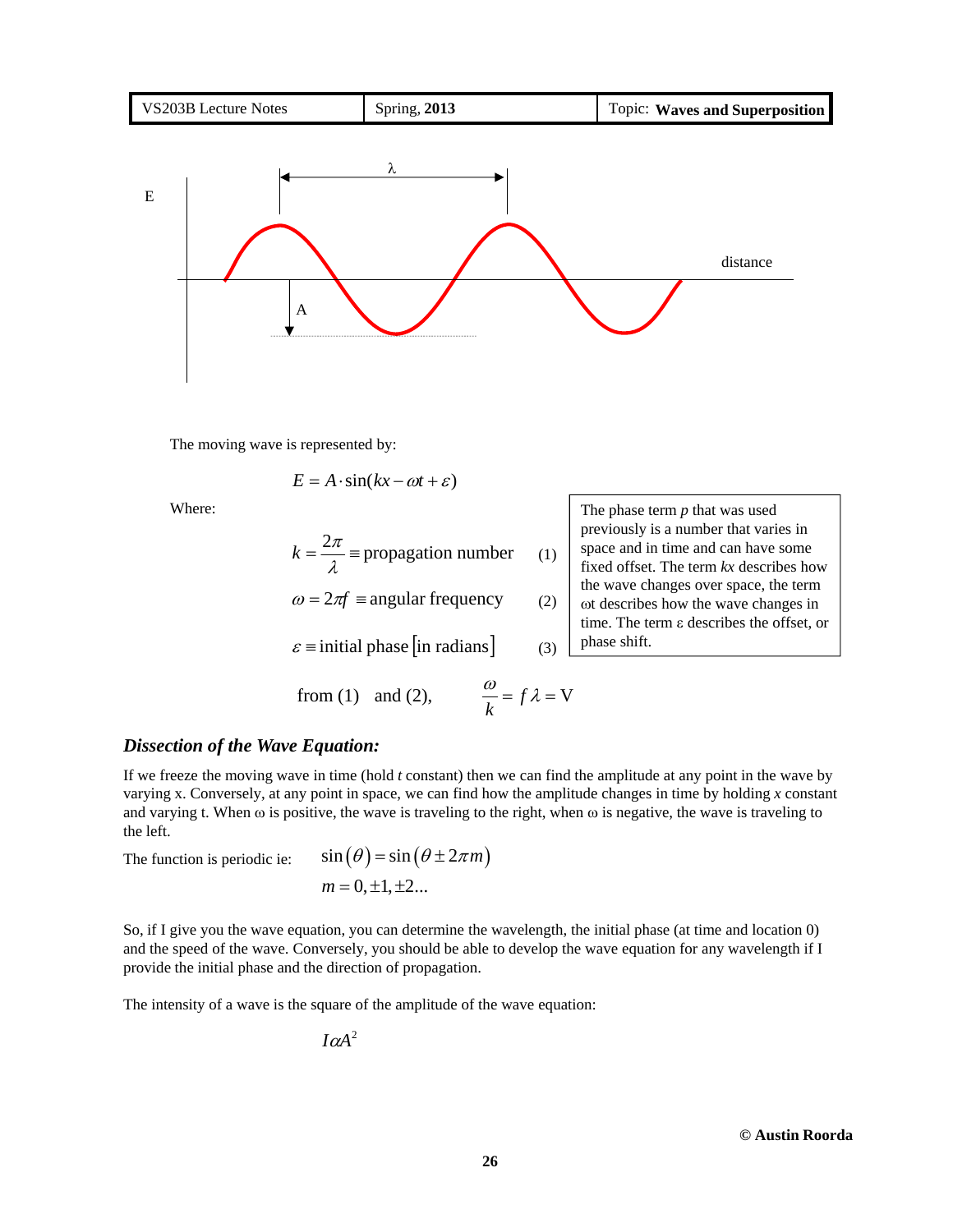

The moving wave is represented by:

$$
E = A \cdot \sin(kx - \omega t + \varepsilon)
$$

Where:

$$
k = \frac{2\pi}{\lambda}
$$
 = propagation number

 $\omega = 2\pi f \equiv$  angular frequency

 $\varepsilon$  = initial phase [in radians]

from (1) and (2),  $\frac{\omega}{k} = f \lambda = V$ 

The phase term *p* that was used previously is a number that varies in space and in time and can have some fixed offset. The term *kx* describes how the wave changes over space, the term of describes how the wave changes in time. The term  $\varepsilon$  describes the offset, or phase shift.

*Dissection of the Wave Equation:*

If we freeze the moving wave in time (hold *t* constant) then we can find the amplitude at any point in the wave by varying x. Conversely, at any point in space, we can find how the amplitude changes in time by holding *x* constant and varying t. When  $\omega$  is positive, the wave is traveling to the right, when  $\omega$  is negative, the wave is traveling to the left.

(1)

(2)

(3)

The function is periodic ie: 
$$
\sin(\theta) = \sin(\theta \pm 2\pi m)
$$
  
\n $m = 0, \pm 1, \pm 2...$ 

So, if I give you the wave equation, you can determine the wavelength, the initial phase (at time and location 0) and the speed of the wave. Conversely, you should be able to develop the wave equation for any wavelength if I provide the initial phase and the direction of propagation.

The intensity of a wave is the square of the amplitude of the wave equation:

$$
I\alpha A^2
$$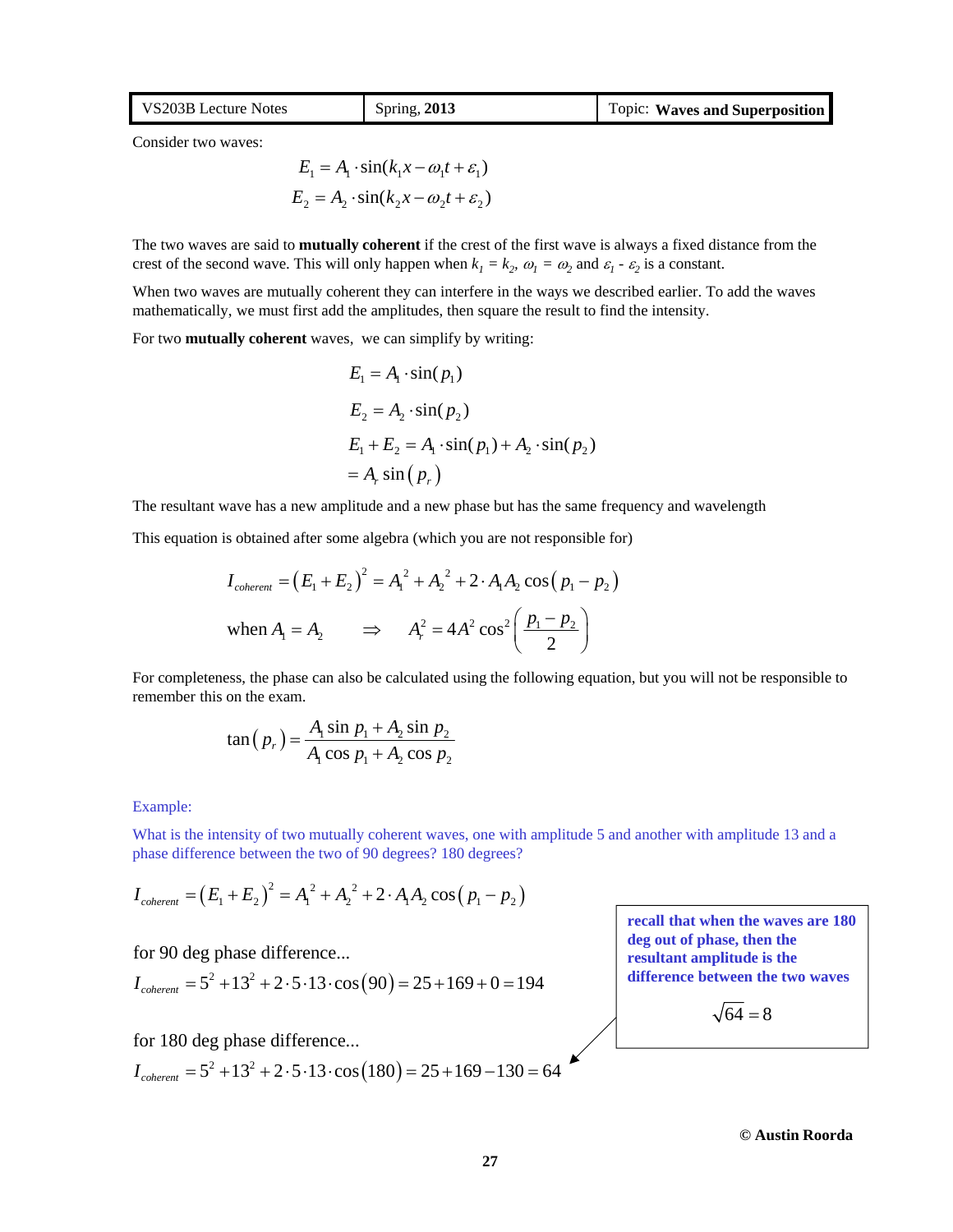| VS203B Lecture Notes | Spring, 2013 | Topic: Waves and Superposition |
|----------------------|--------------|--------------------------------|
|                      |              |                                |

Consider two waves:

 $E_1 = A_1 \cdot \sin(k_1 x - \omega_1 t + \varepsilon_1)$  $E_2 = A_2 \cdot \sin(k_2 x - \omega_2 t + \varepsilon_2)$ 

The two waves are said to **mutually coherent** if the crest of the first wave is always a fixed distance from the crest of the second wave. This will only happen when  $k_1 = k_2$ ,  $\omega_1 = \omega_2$  and  $\varepsilon_1 \cdot \varepsilon_2$  is a constant.

When two waves are mutually coherent they can interfere in the ways we described earlier. To add the waves mathematically, we must first add the amplitudes, then square the result to find the intensity.

For two **mutually coherent** waves, we can simplify by writing:

$$
E_1 = A_1 \cdot \sin(p_1)
$$
  
\n
$$
E_2 = A_2 \cdot \sin(p_2)
$$
  
\n
$$
E_1 + E_2 = A_1 \cdot \sin(p_1) + A_2 \cdot \sin(p_2)
$$
  
\n
$$
= A_r \sin(p_r)
$$

The resultant wave has a new amplitude and a new phase but has the same frequency and wavelength

This equation is obtained after some algebra (which you are not responsible for)

$$
I_{coherent} = (E_1 + E_2)^2 = A_1^2 + A_2^2 + 2 \cdot A_1 A_2 \cos (p_1 - p_2)
$$
  
when  $A_1 = A_2$   $\implies$   $A_r^2 = 4A^2 \cos^2 \left( \frac{p_1 - p_2}{2} \right)$ 

For completeness, the phase can also be calculated using the following equation, but you will not be responsible to remember this on the exam.

$$
\tan (p_r) = \frac{A_1 \sin p_1 + A_2 \sin p_2}{A_1 \cos p_1 + A_2 \cos p_2}
$$

#### Example:

What is the intensity of two mutually coherent waves, one with amplitude 5 and another with amplitude 13 and a phase difference between the two of 90 degrees? 180 degrees?

$$
I_{\text{coherent}} = (E_1 + E_2)^2 = A_1^2 + A_2^2 + 2 \cdot A_1 A_2 \cos (p_1 - p_2)
$$

for 90 deg phase difference...

$$
I_{\text{coherent}} = 5^2 + 13^2 + 2 \cdot 5 \cdot 13 \cdot \cos(90) = 25 + 169 + 0 = 194
$$

for 180 deg phase difference...

 $I_{coherent} = 5^2 + 13^2 + 2 \cdot 5 \cdot 13 \cdot \cos(180) = 25 + 169 - 130 = 64$ 

**recall that when the waves are 180 deg out of phase, then the resultant amplitude is the difference between the two waves**

 $\sqrt{64} = 8$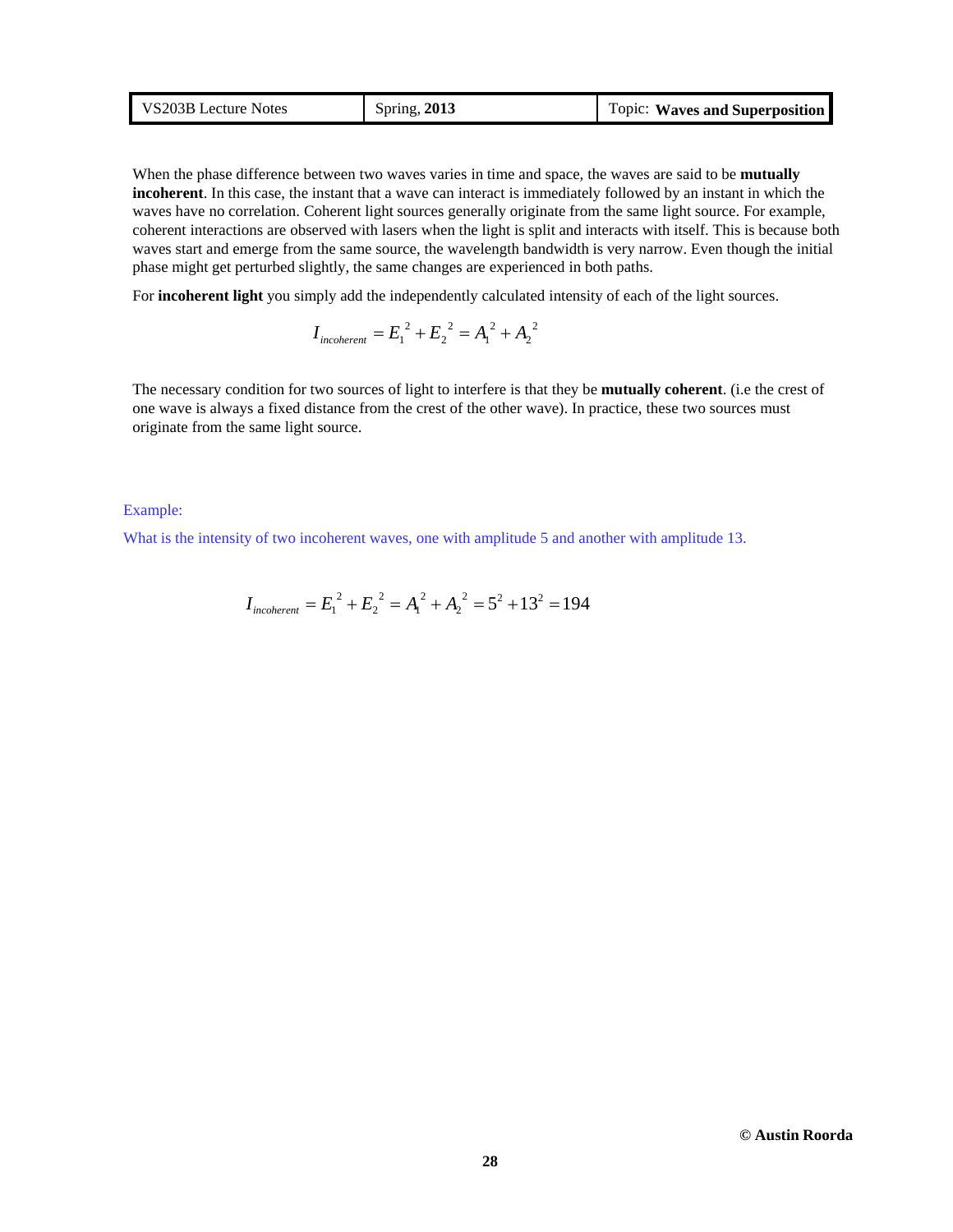| VS203B Lecture Notes | Spring, $2013$ | Topic: Waves and Superposition |
|----------------------|----------------|--------------------------------|
|----------------------|----------------|--------------------------------|

When the phase difference between two waves varies in time and space, the waves are said to be **mutually incoherent**. In this case, the instant that a wave can interact is immediately followed by an instant in which the waves have no correlation. Coherent light sources generally originate from the same light source. For example, coherent interactions are observed with lasers when the light is split and interacts with itself. This is because both waves start and emerge from the same source, the wavelength bandwidth is very narrow. Even though the initial phase might get perturbed slightly, the same changes are experienced in both paths.

For **incoherent light** you simply add the independently calculated intensity of each of the light sources.

$$
I_{\text{incoherent}} = E_1^2 + E_2^2 = A_1^2 + A_2^2
$$

The necessary condition for two sources of light to interfere is that they be **mutually coherent**. (i.e the crest of one wave is always a fixed distance from the crest of the other wave). In practice, these two sources must originate from the same light source.

Example:

What is the intensity of two incoherent waves, one with amplitude 5 and another with amplitude 13.

$$
I_{\text{incoherent}} = E_1^2 + E_2^2 = A_1^2 + A_2^2 = 5^2 + 13^2 = 194
$$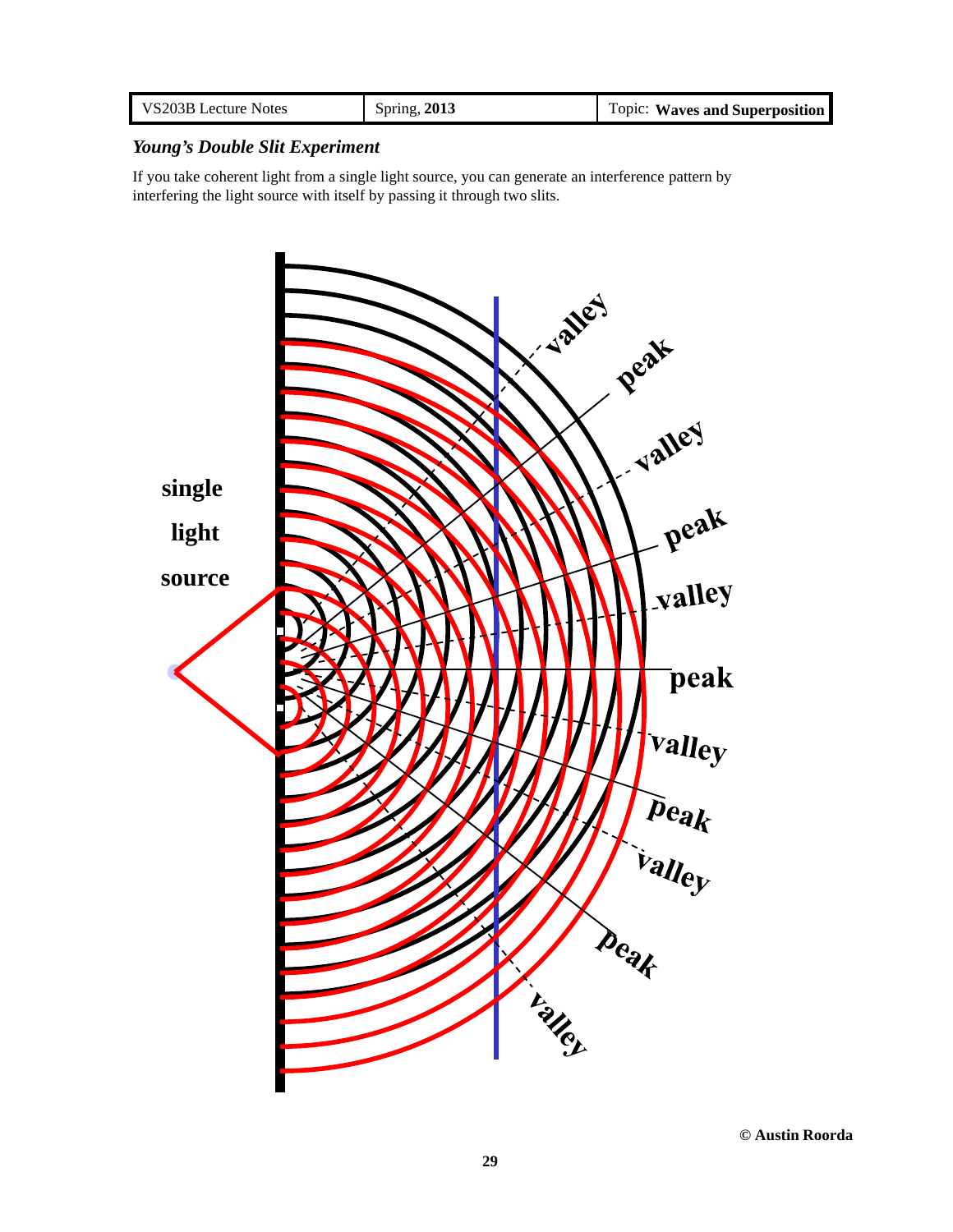| VS203B Lecture Notes | Spring, 2013 | Topic: Waves and Superposition |
|----------------------|--------------|--------------------------------|
|----------------------|--------------|--------------------------------|

## *Young's Double Slit Experiment*

If you take coherent light from a single light source, you can generate an interference pattern by interfering the light source with itself by passing it through two slits.

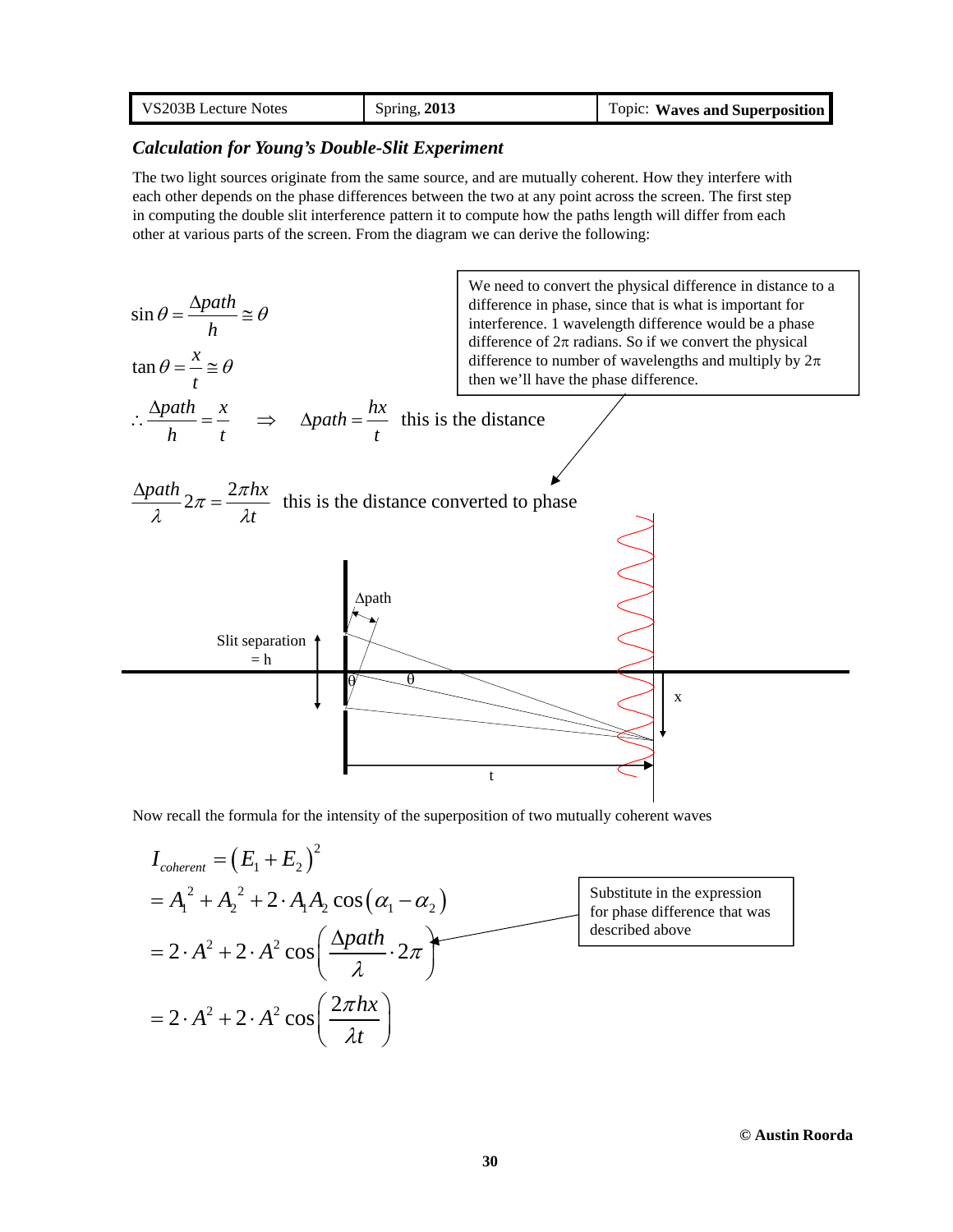| VS203B Lecture Notes | Spring, 2013 | Topic: Waves and Superposition |
|----------------------|--------------|--------------------------------|
|----------------------|--------------|--------------------------------|

### *Calculation for Young's Double-Slit Experiment*

The two light sources originate from the same source, and are mutually coherent. How they interfere with each other depends on the phase differences between the two at any point across the screen. The first step in computing the double slit interference pattern it to compute how the paths length will differ from each other at various parts of the screen. From the diagram we can derive the following:



Now recall the formula for the intensity of the superposition of two mutually coherent waves

$$
I_{\text{coherent}} = (E_1 + E_2)^2
$$
  
=  $A_1^2 + A_2^2 + 2 \cdot A_1 A_2 \cos(\alpha_1 - \alpha_2)$   
=  $2 \cdot A^2 + 2 \cdot A^2 \cos(\frac{\Delta path}{\lambda} \cdot 2\pi)$   
=  $2 \cdot A^2 + 2 \cdot A^2 \cos(\frac{2\pi hx}{\lambda t})$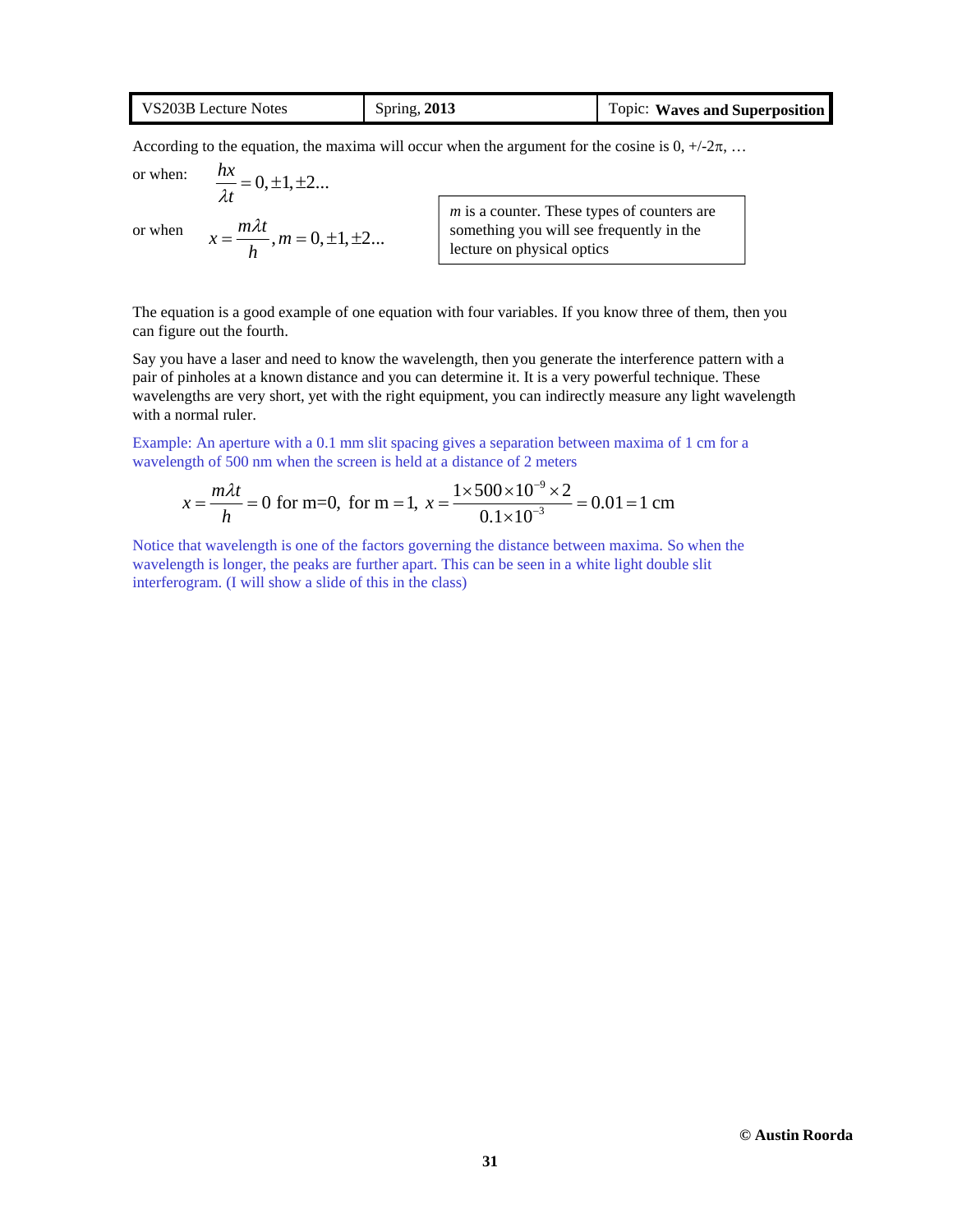| VS203B Lecture Notes | Spring, 2013 | Topic: Waves and Superposition |
|----------------------|--------------|--------------------------------|
|----------------------|--------------|--------------------------------|

According to the equation, the maxima will occur when the argument for the cosine is  $0, +\frac{1}{2}\pi, ...$ 

or when: or when  $\frac{hx}{1} = 0, \pm 1, \pm 2...$  $\lambda t$  $=0,\pm 1,\pm$  $x = \frac{m\lambda t}{l}$ ,  $m = 0, \pm 1, \pm 2...$ *h*  $=\frac{m\lambda t}{l}$ ,  $m=0,\pm 1,\pm 1$ *m* is a counter. These types of counters are something you will see frequently in the lecture on physical optics

The equation is a good example of one equation with four variables. If you know three of them, then you can figure out the fourth.

Say you have a laser and need to know the wavelength, then you generate the interference pattern with a pair of pinholes at a known distance and you can determine it. It is a very powerful technique. These wavelengths are very short, yet with the right equipment, you can indirectly measure any light wavelength with a normal ruler.

 $\overline{Q}$ 

Example: An aperture with a 0.1 mm slit spacing gives a separation between maxima of 1 cm for a wavelength of 500 nm when the screen is held at a distance of 2 meters

$$
x = \frac{m\lambda t}{h} = 0
$$
 for m=0, for m = 1,  $x = \frac{1 \times 500 \times 10^{-9} \times 2}{0.1 \times 10^{-3}} = 0.01 = 1$  cm

Notice that wavelength is one of the factors governing the distance between maxima. So when the wavelength is longer, the peaks are further apart. This can be seen in a white light double slit interferogram. (I will show a slide of this in the class)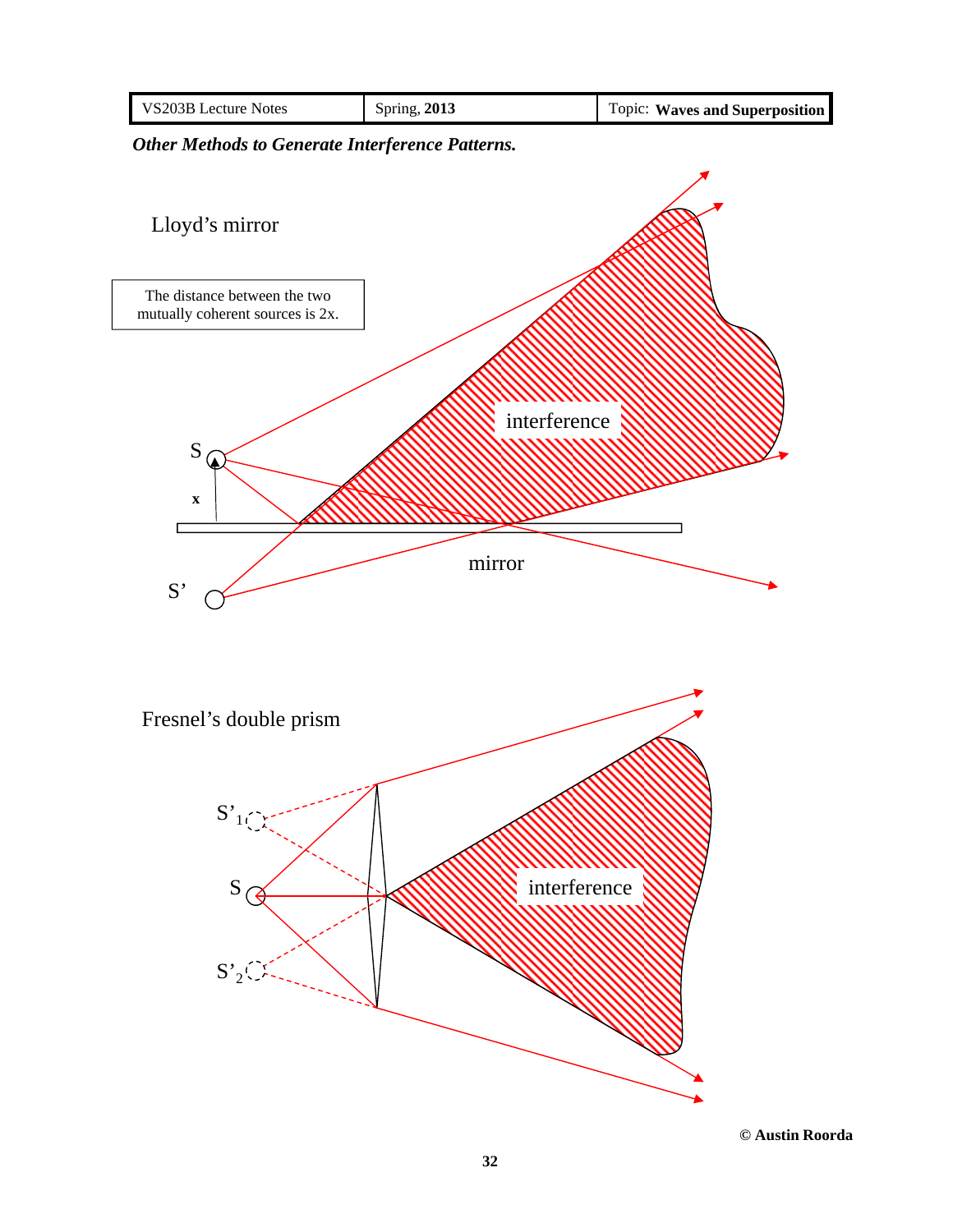

*Other Methods to Generate Interference Patterns.*



**© Austin Roorda**